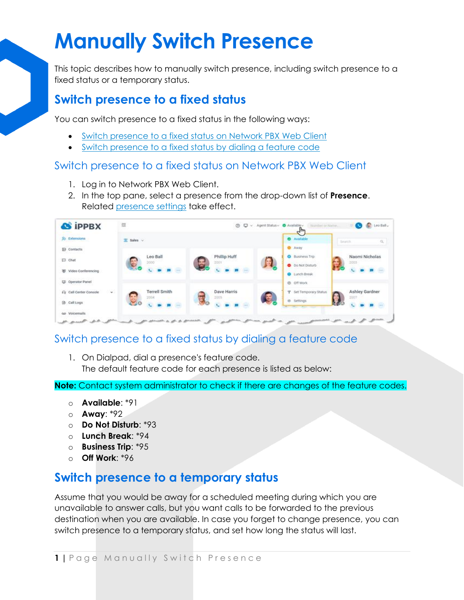## **Manually Switch Presence**

This topic describes how to manually switch presence, including switch presence to a fixed status or a temporary status.

## **Switch presence to a fixed status**

You can switch presence to a fixed status in the following ways:

- [Switch presence to a fixed status on Network PBX Web Client](https://help.yeastar.com/en/p-series-cloud-edition/web-client-user-guide/manually-switch-presence.html#switch-presence-status__linkus-web-client)
- [Switch presence to a fixed status by dialing a feature code](https://help.yeastar.com/en/p-series-cloud-edition/web-client-user-guide/manually-switch-presence.html#switch-presence-status__feature-code)

### Switch presence to a fixed status on Network PBX Web Client

- 1. Log in to Network PBX Web Client.
- 2. In the top pane, select a presence from the drop-down list of **Presence**. Related [presence settings](https://help.yeastar.com/en/p-series-cloud-edition/web-client-user-guide/presence-settings.html) take effect.



## Switch presence to a fixed status by dialing a feature code

1. On Dialpad, dial a presence's feature code. The default feature code for each presence is listed as below:

**Note:** Contact system administrator to check if there are changes of the feature codes.

- o **Available**: \*91
- o **Away**: \*92
- o **Do Not Disturb**: \*93
- o **Lunch Break**: \*94
- o **Business Trip**: \*95
- o **Off Work**: \*96

## **Switch presence to a temporary status**

Assume that you would be away for a scheduled meeting during which you are unavailable to answer calls, but you want calls to be forwarded to the previous destination when you are available. In case you forget to change presence, you can switch presence to a temporary status, and set how long the status will last.